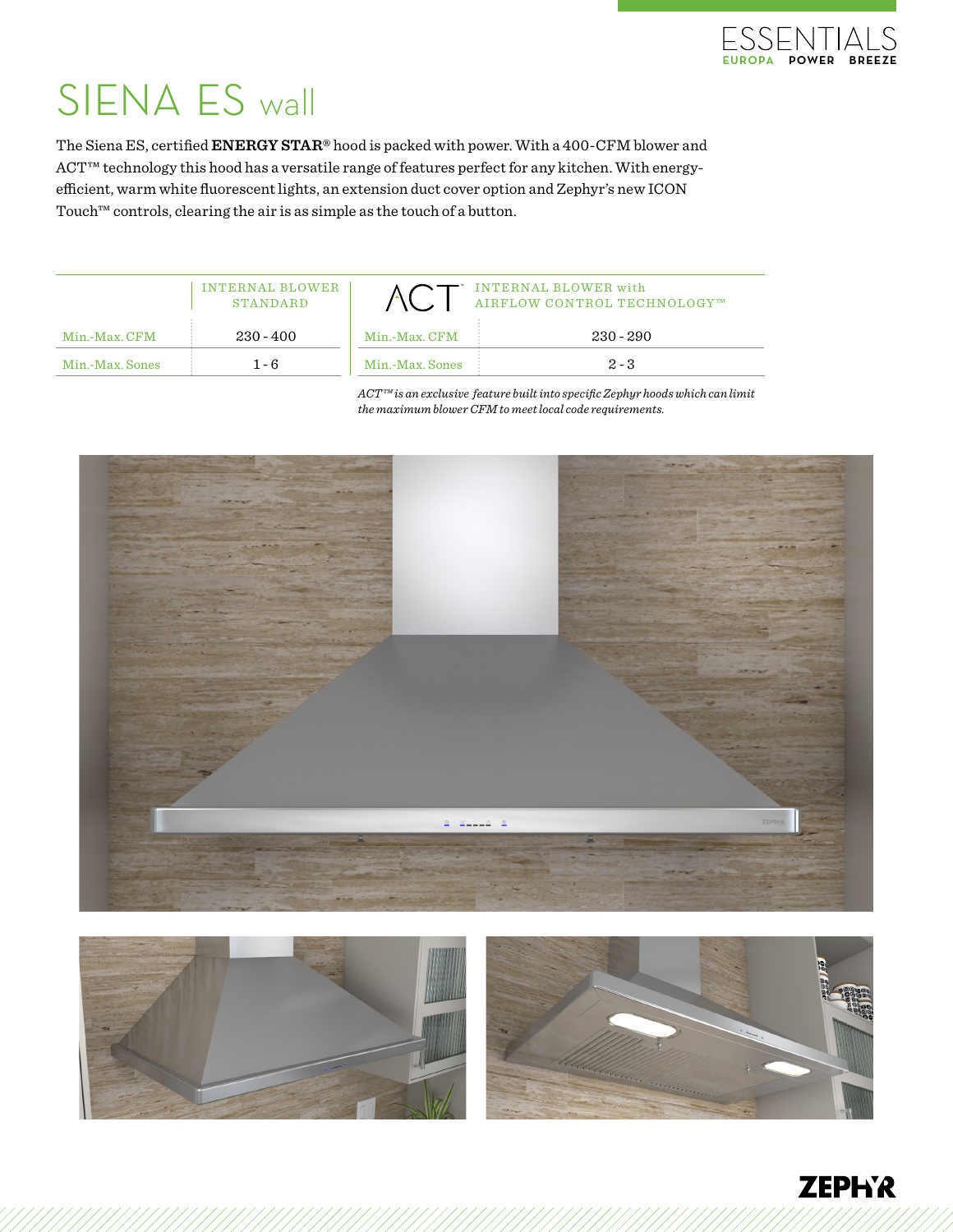

## SIENA ES wall

The Siena ES, certified **ENERGY STAR®** hood is packed with power. With a 400-CFM blower and ACT™ technology this hood has a versatile range of features perfect for any kitchen. With energyefficient, warm white fluorescent lights, an extension duct cover option and Zephyr's new ICON Touch™ controls, clearing the air is as simple as the touch of a button.

|                 | INTERNAL BLOWER<br><b>STANDARD</b> |                 | INTERNAL BLOWER with<br>AIRFLOW CONTROL TECHNOLOGY™ |
|-----------------|------------------------------------|-----------------|-----------------------------------------------------|
| Min.-Max. CFM   | $230 - 400$                        | Min.-Max. CFM   | $230 - 290$                                         |
| Min.-Max. Sones | $1 - 6$                            | Min.-Max. Sones | $2 - 3$                                             |

*ACT™ is an exclusive feature built into specific Zephyr hoods which can limit the maximum blower CFM to meet local code requirements.*